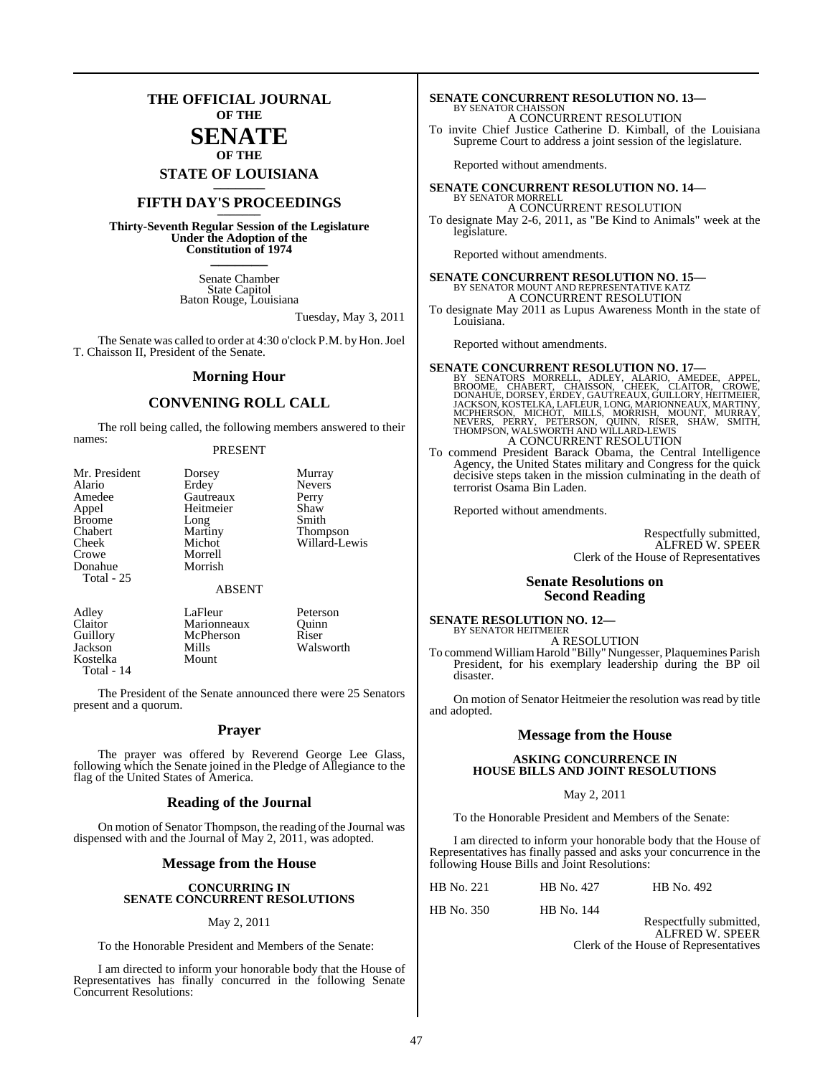### **THE OFFICIAL JOURNAL OF THE**

### **SENATE OF THE**

**STATE OF LOUISIANA \_\_\_\_\_\_\_**

### **FIFTH DAY'S PROCEEDINGS \_\_\_\_\_\_\_**

**Thirty-Seventh Regular Session of the Legislature Under the Adoption of the Constitution of 1974 \_\_\_\_\_\_\_**

> Senate Chamber State Capitol Baton Rouge, Louisiana

> > Tuesday, May 3, 2011

The Senate was called to order at 4:30 o'clock P.M. by Hon. Joel T. Chaisson II, President of the Senate.

#### **Morning Hour**

#### **CONVENING ROLL CALL**

The roll being called, the following members answered to their names:

#### PRESENT

| Mr. President | Dorsey        | Murray        |
|---------------|---------------|---------------|
| Alario        | Erdey         | <b>Nevers</b> |
| Amedee        | Gautreaux     | Perry         |
| Appel         | Heitmeier     | Shaw          |
| <b>Broome</b> | Long          | Smith         |
| Chabert       | Martiny       | Thompson      |
| Cheek         | Michot        | Willard-Lewis |
| Crowe         | Morrell       |               |
| Donahue       | Morrish       |               |
| Total - 25    |               |               |
|               | <b>ABSENT</b> |               |
| Adley         | LaFleur       | Peterson      |

Claitor Marionneaux Quinn<br>
Guillory McPherson Riser McPherson Jackson Mills Walsworth Kostelka Total - 14

The President of the Senate announced there were 25 Senators present and a quorum.

#### **Prayer**

The prayer was offered by Reverend George Lee Glass, following which the Senate joined in the Pledge of Allegiance to the flag of the United States of America.

#### **Reading of the Journal**

On motion of Senator Thompson, the reading of the Journal was dispensed with and the Journal of May 2, 2011, was adopted.

#### **Message from the House**

#### **CONCURRING IN SENATE CONCURRENT RESOLUTIONS**

#### May 2, 2011

To the Honorable President and Members of the Senate:

I am directed to inform your honorable body that the House of Representatives has finally concurred in the following Senate Concurrent Resolutions:

# **SENATE CONCURRENT RESOLUTION NO. 13—** BY SENATOR CHAISSON

A CONCURRENT RESOLUTION To invite Chief Justice Catherine D. Kimball, of the Louisiana Supreme Court to address a joint session of the legislature.

Reported without amendments.

## **SENATE CONCURRENT RESOLUTION NO. 14—** BY SENATOR MORRELL

A CONCURRENT RESOLUTION To designate May 2-6, 2011, as "Be Kind to Animals" week at the legislature.

Reported without amendments.

### **SENATE CONCURRENT RESOLUTION NO. 15—** BY SENATOR MOUNT AND REPRESENTATIVE KATZ A CONCURRENT RESOLUTION

To designate May 2011 as Lupus Awareness Month in the state of Louisiana.

Reported without amendments.

**SENATE CONCURRENT RESOLUTION NO. 17—**<br>BY SENATORS MORRELL, ADLEY, ALARIO, AMEDEE, APPEL, BROOME, CHABERT, CHABERT, ANDER DONAHUE, DORSEY, ERDEY, GAUTREAUX, GULLORY, HEITMEIER, JACKSON, KOSTELKA, LAFLEUR, LONG, MARIONNEAUX A CONCURRENT RESOLUTION

To commend President Barack Obama, the Central Intelligence Agency, the United States military and Congress for the quick decisive steps taken in the mission culminating in the death of terrorist Osama Bin Laden.

Reported without amendments.

Respectfully submitted, ALFRED W. SPEER Clerk of the House of Representatives

#### **Senate Resolutions on Second Reading**

#### **SENATE RESOLUTION NO. 12—** BY SENATOR HEITMEIER A RESOLUTION

To commend William Harold "Billy" Nungesser, Plaquemines Parish President, for his exemplary leadership during the BP oil disaster.

On motion of Senator Heitmeier the resolution was read by title and adopted.

#### **Message from the House**

#### **ASKING CONCURRENCE IN HOUSE BILLS AND JOINT RESOLUTIONS**

#### May 2, 2011

To the Honorable President and Members of the Senate:

I am directed to inform your honorable body that the House of Representatives has finally passed and asks your concurrence in the following House Bills and Joint Resolutions:

| HB No. 221 | HB No. 427 | HB No. 492 |
|------------|------------|------------|
|            |            |            |

HB No. 350 HB No. 144

Respectfully submitted, ALFRED W. SPEER Clerk of the House of Representatives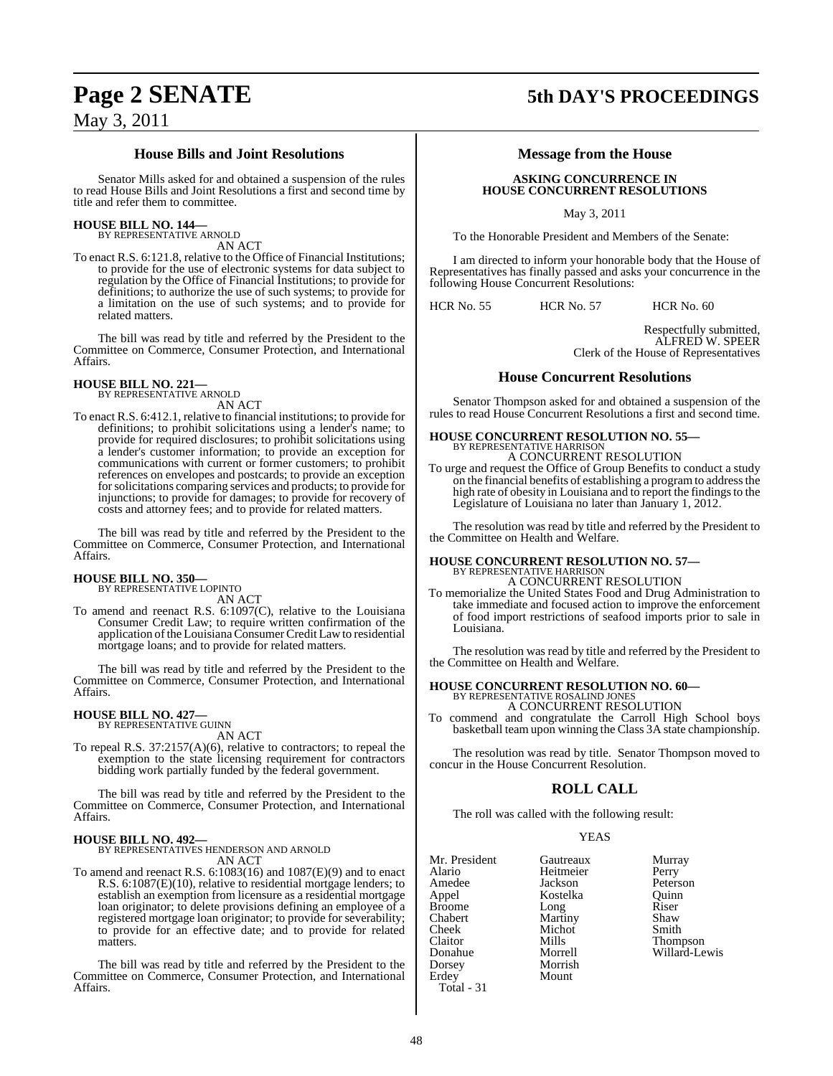### May 3, 2011

#### **House Bills and Joint Resolutions**

Senator Mills asked for and obtained a suspension of the rules to read House Bills and Joint Resolutions a first and second time by title and refer them to committee.

#### **HOUSE BILL NO. 144—** BY REPRESENTATIVE ARNOLD

AN ACT

To enact R.S. 6:121.8, relative to the Office of Financial Institutions; to provide for the use of electronic systems for data subject to regulation by the Office of Financial Institutions; to provide for definitions; to authorize the use of such systems; to provide for a limitation on the use of such systems; and to provide for related matters.

The bill was read by title and referred by the President to the Committee on Commerce, Consumer Protection, and International Affairs.

**HOUSE BILL NO. 221—** BY REPRESENTATIVE ARNOLD

AN ACT

To enact R.S. 6:412.1, relative to financial institutions; to provide for definitions; to prohibit solicitations using a lender's name; to provide for required disclosures; to prohibit solicitations using a lender's customer information; to provide an exception for communications with current or former customers; to prohibit references on envelopes and postcards; to provide an exception forsolicitations comparing services and products; to provide for injunctions; to provide for damages; to provide for recovery of costs and attorney fees; and to provide for related matters.

The bill was read by title and referred by the President to the Committee on Commerce, Consumer Protection, and International Affairs.

### **HOUSE BILL NO. 350—** BY REPRESENTATIVE LOPINTO

AN ACT

To amend and reenact R.S. 6:1097(C), relative to the Louisiana Consumer Credit Law; to require written confirmation of the application of the Louisiana Consumer Credit Law to residential mortgage loans; and to provide for related matters.

The bill was read by title and referred by the President to the Committee on Commerce, Consumer Protection, and International Affairs.

### **HOUSE BILL NO. 427—** BY REPRESENTATIVE GUINN

AN ACT

To repeal R.S. 37:2157(A)(6), relative to contractors; to repeal the exemption to the state licensing requirement for contractors bidding work partially funded by the federal government.

The bill was read by title and referred by the President to the Committee on Commerce, Consumer Protection, and International Affairs.

**HOUSE BILL NO. 492—** BY REPRESENTATIVES HENDERSON AND ARNOLD AN ACT

To amend and reenact R.S. 6:1083(16) and 1087(E)(9) and to enact R.S. 6:1087(E)(10), relative to residential mortgage lenders; to establish an exemption from licensure as a residential mortgage loan originator; to delete provisions defining an employee of a registered mortgage loan originator; to provide for severability; to provide for an effective date; and to provide for related matters.

The bill was read by title and referred by the President to the Committee on Commerce, Consumer Protection, and International Affairs.

## **Page 2 SENATE 5th DAY'S PROCEEDINGS**

#### **Message from the House**

#### **ASKING CONCURRENCE IN HOUSE CONCURRENT RESOLUTIONS**

May 3, 2011

To the Honorable President and Members of the Senate:

I am directed to inform your honorable body that the House of Representatives has finally passed and asks your concurrence in the following House Concurrent Resolutions:

HCR No. 55 HCR No. 57 HCR No. 60

Respectfully submitted, ALFRED W. SPEER Clerk of the House of Representatives

#### **House Concurrent Resolutions**

Senator Thompson asked for and obtained a suspension of the rules to read House Concurrent Resolutions a first and second time.

# **HOUSE CONCURRENT RESOLUTION NO. 55—**<br>BY REPRESENTATIVE HARRISON<br>A CONCURRENT RESOLUTION

To urge and request the Office of Group Benefits to conduct a study on the financial benefits of establishing a programto addressthe high rate of obesity in Louisiana and to report the findings to the Legislature of Louisiana no later than January 1, 2012.

The resolution was read by title and referred by the President to the Committee on Health and Welfare.

### **HOUSE CONCURRENT RESOLUTION NO. 57—** BY REPRESENTATIVE HARRISON A CONCURRENT RESOLUTION

To memorialize the United States Food and Drug Administration to take immediate and focused action to improve the enforcement of food import restrictions of seafood imports prior to sale in Louisiana.

The resolution was read by title and referred by the President to the Committee on Health and Welfare.

## **HOUSE CONCURRENT RESOLUTION NO. 60—** BY REPRESENTATIVE ROSALIND JONES

A CONCURRENT RESOLUTION

To commend and congratulate the Carroll High School boys basketball team upon winning the Class 3A state championship.

The resolution was read by title. Senator Thompson moved to concur in the House Concurrent Resolution.

### **ROLL CALL**

The roll was called with the following result:

#### YEAS

| Mr. President<br>Alario<br>Amedee<br>Appel<br><b>Broome</b><br><b>Chabert</b><br>Cheek<br>Claitor<br>Donahue<br>Dorsey<br>Erdey | Gautreaux<br>Heitmeier<br>Jackson<br>Kostelka<br>Long<br>Martiny<br>Michot<br>Mills<br>Morrell<br>Morrish<br>Mount | Murray<br>Perry<br>Peterson<br>Ouinn<br>Riser<br>Shaw<br>Smith<br>Thompson<br>Willard-Lewis |
|---------------------------------------------------------------------------------------------------------------------------------|--------------------------------------------------------------------------------------------------------------------|---------------------------------------------------------------------------------------------|
| Total - 31                                                                                                                      |                                                                                                                    |                                                                                             |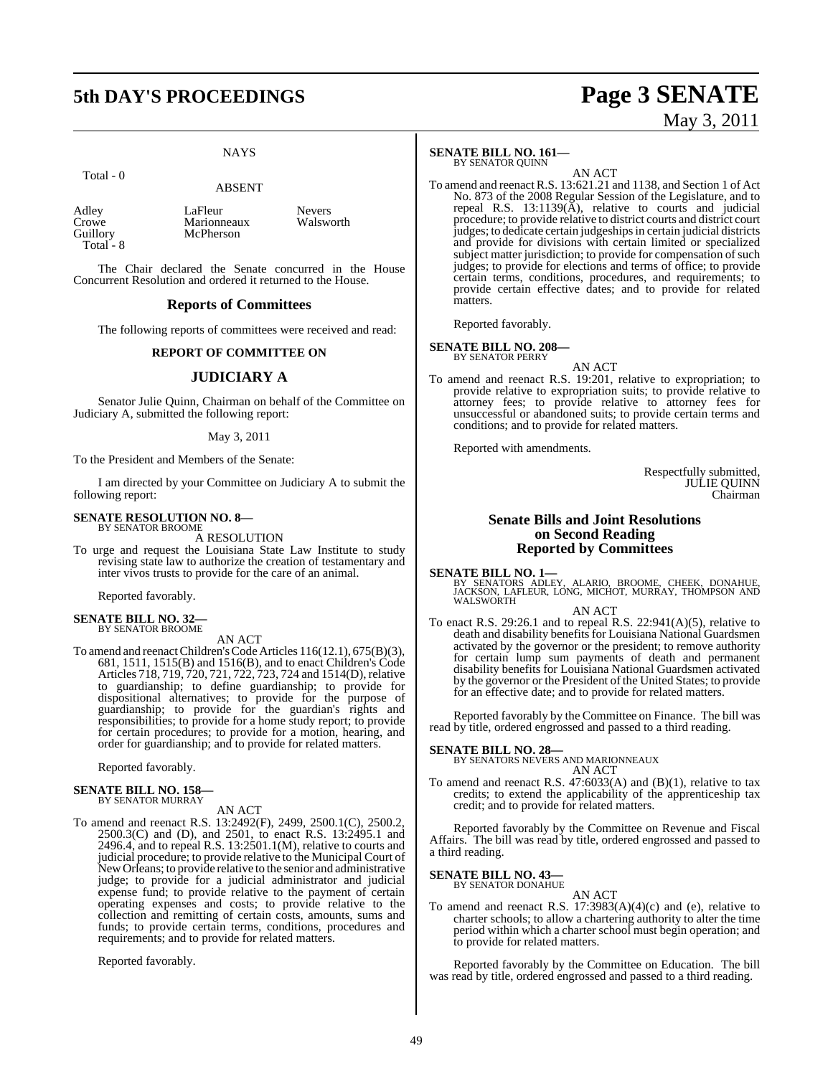# **5th DAY'S PROCEEDINGS Page 3 SENATE**

#### **NAYS**

#### Total - 0

#### ABSENT

| Adley     |  |
|-----------|--|
| Crowe     |  |
| Guillory  |  |
| Total - 8 |  |

LaFleur Nevers<br>
Marionneaux Walsworth **Marionneaux** McPherson

The Chair declared the Senate concurred in the House Concurrent Resolution and ordered it returned to the House.

#### **Reports of Committees**

The following reports of committees were received and read:

#### **REPORT OF COMMITTEE ON**

#### **JUDICIARY A**

Senator Julie Quinn, Chairman on behalf of the Committee on Judiciary A, submitted the following report:

#### May 3, 2011

To the President and Members of the Senate:

I am directed by your Committee on Judiciary A to submit the following report:

### **SENATE RESOLUTION NO. 8—** BY SENATOR BROOME

A RESOLUTION

To urge and request the Louisiana State Law Institute to study revising state law to authorize the creation of testamentary and inter vivos trusts to provide for the care of an animal.

Reported favorably.

### **SENATE BILL NO. 32—** BY SENATOR BROOME

AN ACT

To amend and reenactChildren'sCodeArticles 116(12.1), 675(B)(3), 681, 1511, 1515(B) and 1516(B), and to enact Children's Code Articles 718, 719, 720, 721, 722, 723, 724 and 1514(D), relative to guardianship; to define guardianship; to provide for dispositional alternatives; to provide for the purpose of guardianship; to provide for the guardian's rights and responsibilities; to provide for a home study report; to provide for certain procedures; to provide for a motion, hearing, and order for guardianship; and to provide for related matters.

Reported favorably.

### **SENATE BILL NO. 158—** BY SENATOR MURRAY

#### AN ACT

To amend and reenact R.S. 13:2492(F), 2499, 2500.1(C), 2500.2, 2500.3(C) and (D), and 2501, to enact R.S. 13:2495.1 and 2496.4, and to repeal R.S. 13:2501.1(M), relative to courts and judicial procedure; to provide relative to the Municipal Court of New Orleans; to provide relative to the senior and administrative judge; to provide for a judicial administrator and judicial expense fund; to provide relative to the payment of certain operating expenses and costs; to provide relative to the collection and remitting of certain costs, amounts, sums and funds; to provide certain terms, conditions, procedures and requirements; and to provide for related matters.

Reported favorably.

#### **SENATE BILL NO. 161—** BY SENATOR QUINN

AN ACT

To amend and reenact R.S. 13:621.21 and 1138, and Section 1 of Act No. 873 of the 2008 Regular Session of the Legislature, and to repeal R.S.  $13:1139(A)$ , relative to courts and judicial procedure; to provide relative to district courts and district court judges; to dedicate certain judgeships in certain judicial districts and provide for divisions with certain limited or specialized subject matter jurisdiction; to provide for compensation of such judges; to provide for elections and terms of office; to provide certain terms, conditions, procedures, and requirements; to provide certain effective dates; and to provide for related matters.

Reported favorably.

#### **SENATE BILL NO. 208—** BY SENATOR PERRY

AN ACT

To amend and reenact R.S. 19:201, relative to expropriation; to provide relative to expropriation suits; to provide relative to attorney fees; to provide relative to attorney fees for unsuccessful or abandoned suits; to provide certain terms and conditions; and to provide for related matters.

Reported with amendments.

Respectfully submitted, JULIE QUINN Chairman

#### **Senate Bills and Joint Resolutions on Second Reading Reported by Committees**

**SENATE BILL NO. 1—**<br>BY SENATORS ADLEY, ALARIO, BROOME, CHEEK, DONAHUE,<br>JACKSON, LAFLEUR, LONG, MICHOT, MURRAY, THOMPSON AND<br>WALSWORTH

AN ACT

To enact R.S. 29:26.1 and to repeal R.S. 22:941(A)(5), relative to death and disability benefits for Louisiana National Guardsmen activated by the governor or the president; to remove authority for certain lump sum payments of death and permanent disability benefits for Louisiana National Guardsmen activated by the governor or the President of the United States; to provide for an effective date; and to provide for related matters.

Reported favorably by the Committee on Finance. The bill was read by title, ordered engrossed and passed to a third reading.

**SENATE BILL NO. 28—** BY SENATORS NEVERS AND MARIONNEAUX AN ACT

To amend and reenact R.S. 47:6033(A) and (B)(1), relative to tax credits; to extend the applicability of the apprenticeship tax credit; and to provide for related matters.

Reported favorably by the Committee on Revenue and Fiscal Affairs. The bill was read by title, ordered engrossed and passed to a third reading.

#### **SENATE BILL NO. 43—** BY SENATOR DONAHUE

AN ACT

To amend and reenact R.S.  $17:3983(A)(4)(c)$  and (e), relative to charter schools; to allow a chartering authority to alter the time period within which a charter school must begin operation; and to provide for related matters.

Reported favorably by the Committee on Education. The bill was read by title, ordered engrossed and passed to a third reading.

# May 3, 2011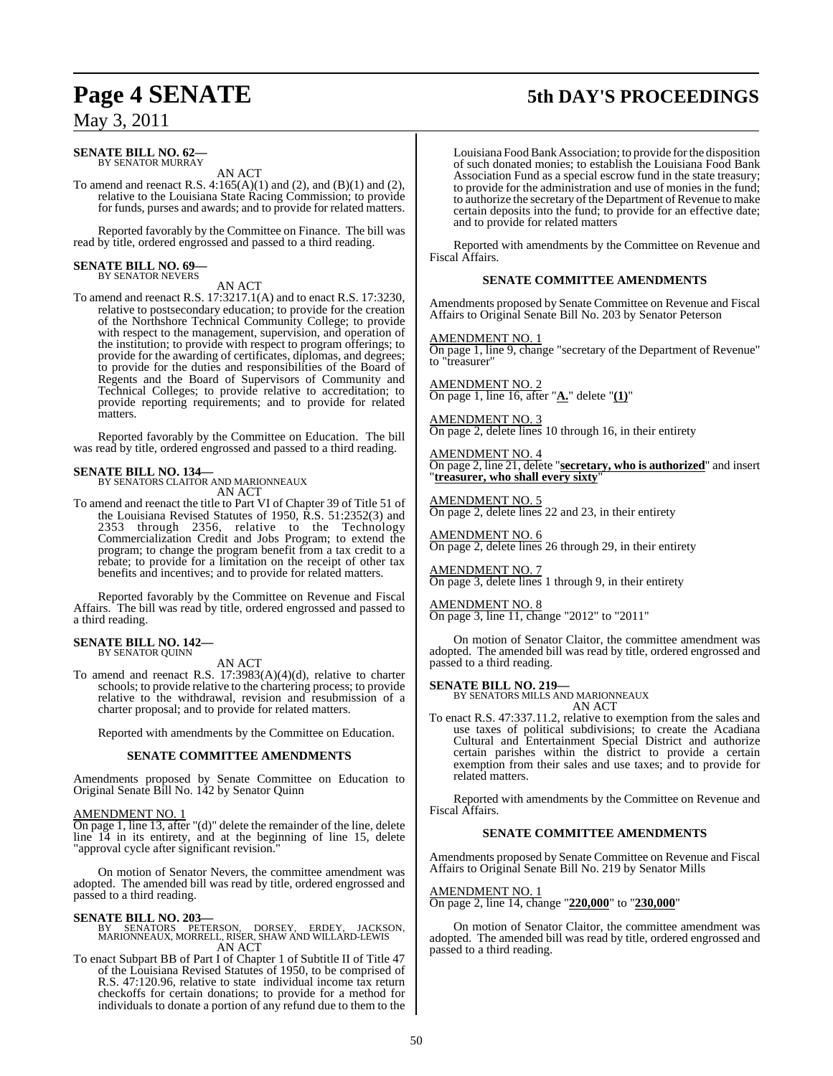# **Page 4 SENATE 5th DAY'S PROCEEDINGS**

### May 3, 2011

#### **SENATE BILL NO. 62—** BY SENATOR MURRAY

AN ACT

To amend and reenact R.S.  $4:165(A)(1)$  and (2), and (B)(1) and (2), relative to the Louisiana State Racing Commission; to provide for funds, purses and awards; and to provide for related matters.

Reported favorably by the Committee on Finance. The bill was read by title, ordered engrossed and passed to a third reading.

## **SENATE BILL NO. 69—** BY SENATOR NEVERS

AN ACT

To amend and reenact R.S. 17:3217.1(A) and to enact R.S. 17:3230, relative to postsecondary education; to provide for the creation of the Northshore Technical Community College; to provide with respect to the management, supervision, and operation of the institution; to provide with respect to program offerings; to provide for the awarding of certificates, diplomas, and degrees; to provide for the duties and responsibilities of the Board of Regents and the Board of Supervisors of Community and Technical Colleges; to provide relative to accreditation; to provide reporting requirements; and to provide for related matters.

Reported favorably by the Committee on Education. The bill was read by title, ordered engrossed and passed to a third reading.

### **SENATE BILL NO. 134—**

BY SENATORS CLAITOR AND MARIONNEAUX AN ACT

To amend and reenact the title to Part VI of Chapter 39 of Title 51 of the Louisiana Revised Statutes of 1950, R.S. 51:2352(3) and 2353 through 2356, relative to the Technology Commercialization Credit and Jobs Program; to extend the program; to change the program benefit from a tax credit to a rebate; to provide for a limitation on the receipt of other tax benefits and incentives; and to provide for related matters.

Reported favorably by the Committee on Revenue and Fiscal Affairs. The bill was read by title, ordered engrossed and passed to a third reading.

# **SENATE BILL NO. 142—** BY SENATOR QUINN

AN ACT

To amend and reenact R.S. 17:3983(A)(4)(d), relative to charter schools; to provide relative to the chartering process; to provide relative to the withdrawal, revision and resubmission of a charter proposal; and to provide for related matters.

Reported with amendments by the Committee on Education.

#### **SENATE COMMITTEE AMENDMENTS**

Amendments proposed by Senate Committee on Education to Original Senate Bill No. 142 by Senator Quinn

#### AMENDMENT NO. 1

On page 1, line 13, after "(d)" delete the remainder of the line, delete line 14 in its entirety, and at the beginning of line 15, delete "approval cycle after significant revision."

On motion of Senator Nevers, the committee amendment was adopted. The amended bill was read by title, ordered engrossed and passed to a third reading.

**SENATE BILL NO. 203—** BY SENATORS PETERSON, DORSEY, ERDEY, JACKSON, MARIONNEAUX, MORRELL, RISER, SHAW AND WILLARD-LEWIS AN ACT

To enact Subpart BB of Part I of Chapter 1 of Subtitle II of Title 47 of the Louisiana Revised Statutes of 1950, to be comprised of R.S. 47:120.96, relative to state individual income tax return checkoffs for certain donations; to provide for a method for individuals to donate a portion of any refund due to them to the Louisiana Food Bank Association; to provide for the disposition of such donated monies; to establish the Louisiana Food Bank Association Fund as a special escrow fund in the state treasury; to provide for the administration and use of monies in the fund; to authorize the secretary of the Department of Revenue to make certain deposits into the fund; to provide for an effective date; and to provide for related matters

Reported with amendments by the Committee on Revenue and Fiscal Affairs.

#### **SENATE COMMITTEE AMENDMENTS**

Amendments proposed by Senate Committee on Revenue and Fiscal Affairs to Original Senate Bill No. 203 by Senator Peterson

#### AMENDMENT NO. 1

On page 1, line 9, change "secretary of the Department of Revenue" to "treasurer"

AMENDMENT NO. 2 On page 1, line 16, after "**A.**" delete "**(1)**"

AMENDMENT NO. 3 On page 2, delete lines 10 through 16, in their entirety

AMENDMENT NO. 4 On page 2, line 21, delete "**secretary, who is authorized**" and insert "**treasurer, who shall every sixty**"

AMENDMENT NO. 5 On page 2, delete lines 22 and 23, in their entirety

AMENDMENT NO. 6 On page 2, delete lines 26 through 29, in their entirety

AMENDMENT NO. 7 On page 3, delete lines 1 through 9, in their entirety

AMENDMENT NO. 8 On page 3, line 11, change "2012" to "2011"

On motion of Senator Claitor, the committee amendment was adopted. The amended bill was read by title, ordered engrossed and passed to a third reading.

#### **SENATE BILL NO. 219—**

BY SENATORS MILLS AND MARIONNEAUX AN ACT

To enact R.S. 47:337.11.2, relative to exemption from the sales and use taxes of political subdivisions; to create the Acadiana Cultural and Entertainment Special District and authorize certain parishes within the district to provide a certain exemption from their sales and use taxes; and to provide for related matters.

Reported with amendments by the Committee on Revenue and Fiscal Affairs.

#### **SENATE COMMITTEE AMENDMENTS**

Amendments proposed by Senate Committee on Revenue and Fiscal Affairs to Original Senate Bill No. 219 by Senator Mills

AMENDMENT NO. 1

On page 2, line 14, change "**220,000**" to "**230,000**"

On motion of Senator Claitor, the committee amendment was adopted. The amended bill was read by title, ordered engrossed and passed to a third reading.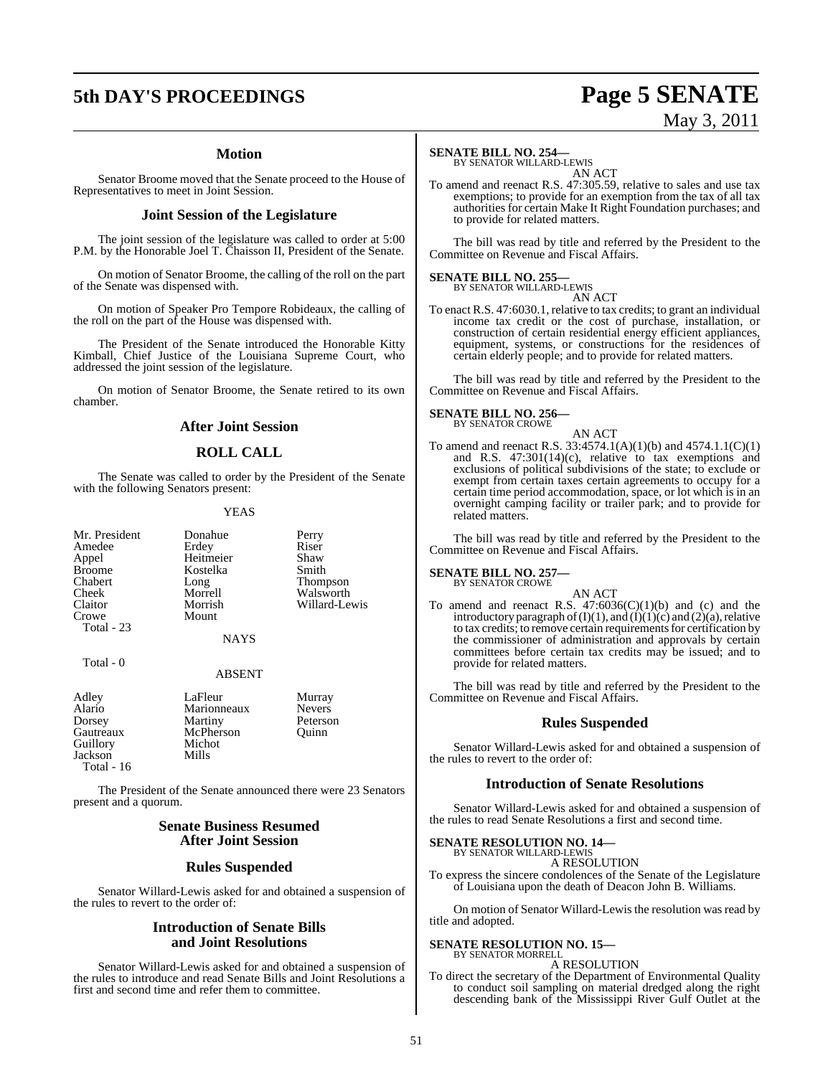# **5th DAY'S PROCEEDINGS Page 5 SENATE**

# May 3, 2011

### **Motion**

Senator Broome moved that the Senate proceed to the House of Representatives to meet in Joint Session.

#### **Joint Session of the Legislature**

The joint session of the legislature was called to order at 5:00 P.M. by the Honorable Joel T. Chaisson II, President of the Senate.

On motion of Senator Broome, the calling of the roll on the part of the Senate was dispensed with.

On motion of Speaker Pro Tempore Robideaux, the calling of the roll on the part of the House was dispensed with.

The President of the Senate introduced the Honorable Kitty Kimball, Chief Justice of the Louisiana Supreme Court, who addressed the joint session of the legislature.

On motion of Senator Broome, the Senate retired to its own chamber.

#### **After Joint Session**

### **ROLL CALL**

The Senate was called to order by the President of the Senate with the following Senators present:

#### YEAS

| Mr. President | Donahue     | Perry           |
|---------------|-------------|-----------------|
| Amedee        | Erdey       | Riser           |
| Appel         | Heitmeier   | Shaw            |
| <b>Broome</b> | Kostelka    | Smith           |
| Chabert       | Long        | <b>Thompson</b> |
| Cheek         | Morrell     | Walsworth       |
| Claitor       | Morrish     | Willard-Lewis   |
| Crowe         | Mount       |                 |
| Total - 23    |             |                 |
|               | <b>NAYS</b> |                 |
|               |             |                 |

Total - 0

#### ABSENT

| Adley       | LaFleur     | Murray        |
|-------------|-------------|---------------|
| Alario      | Marionneaux | <b>Nevers</b> |
| Dorsey      | Martiny     | Peterson      |
| Gautreaux   | McPherson   | Ouinn         |
| Guillory    | Michot      |               |
| Jackson     | Mills       |               |
| Total $-16$ |             |               |

The President of the Senate announced there were 23 Senators present and a quorum.

#### **Senate Business Resumed After Joint Session**

#### **Rules Suspended**

Senator Willard-Lewis asked for and obtained a suspension of the rules to revert to the order of:

#### **Introduction of Senate Bills and Joint Resolutions**

Senator Willard-Lewis asked for and obtained a suspension of the rules to introduce and read Senate Bills and Joint Resolutions a first and second time and refer them to committee.

### **SENATE BILL NO. 254—** BY SENATOR WILLARD-LEWIS

AN ACT

To amend and reenact R.S. 47:305.59, relative to sales and use tax exemptions; to provide for an exemption from the tax of all tax authorities for certain Make It Right Foundation purchases; and to provide for related matters.

The bill was read by title and referred by the President to the Committee on Revenue and Fiscal Affairs.

#### **SENATE BILL NO. 255—**

BY SENATOR WILLARD-LEWIS

AN ACT To enact R.S. 47:6030.1, relative to tax credits; to grant an individual income tax credit or the cost of purchase, installation, or construction of certain residential energy efficient appliances, equipment, systems, or constructions for the residences of certain elderly people; and to provide for related matters.

The bill was read by title and referred by the President to the Committee on Revenue and Fiscal Affairs.

### **SENATE BILL NO. 256—** BY SENATOR CROWE

AN ACT To amend and reenact R.S. 33:4574.1(A)(1)(b) and 4574.1.1(C)(1) and R.S. 47:301(14)(c), relative to tax exemptions and exclusions of political subdivisions of the state; to exclude or exempt from certain taxes certain agreements to occupy for a certain time period accommodation, space, or lot which is in an overnight camping facility or trailer park; and to provide for related matters.

The bill was read by title and referred by the President to the Committee on Revenue and Fiscal Affairs.

#### **SENATE BILL NO. 257—** BY SENATOR CROWE

AN ACT

To amend and reenact R.S.  $47:6036(C)(1)(b)$  and (c) and the introductory paragraph of (I)(1), and (I)(1)(c) and (2)(a), relative to tax credits; to remove certain requirements for certification by the commissioner of administration and approvals by certain committees before certain tax credits may be issued; and to provide for related matters.

The bill was read by title and referred by the President to the Committee on Revenue and Fiscal Affairs.

#### **Rules Suspended**

Senator Willard-Lewis asked for and obtained a suspension of the rules to revert to the order of:

#### **Introduction of Senate Resolutions**

Senator Willard-Lewis asked for and obtained a suspension of the rules to read Senate Resolutions a first and second time.

### **SENATE RESOLUTION NO. 14—** BY SENATOR WILLARD-LEWIS

A RESOLUTION

To express the sincere condolences of the Senate of the Legislature of Louisiana upon the death of Deacon John B. Williams.

On motion of Senator Willard-Lewis the resolution was read by title and adopted.

### **SENATE RESOLUTION NO. 15—** BY SENATOR MORRELL

A RESOLUTION

To direct the secretary of the Department of Environmental Quality to conduct soil sampling on material dredged along the right descending bank of the Mississippi River Gulf Outlet at the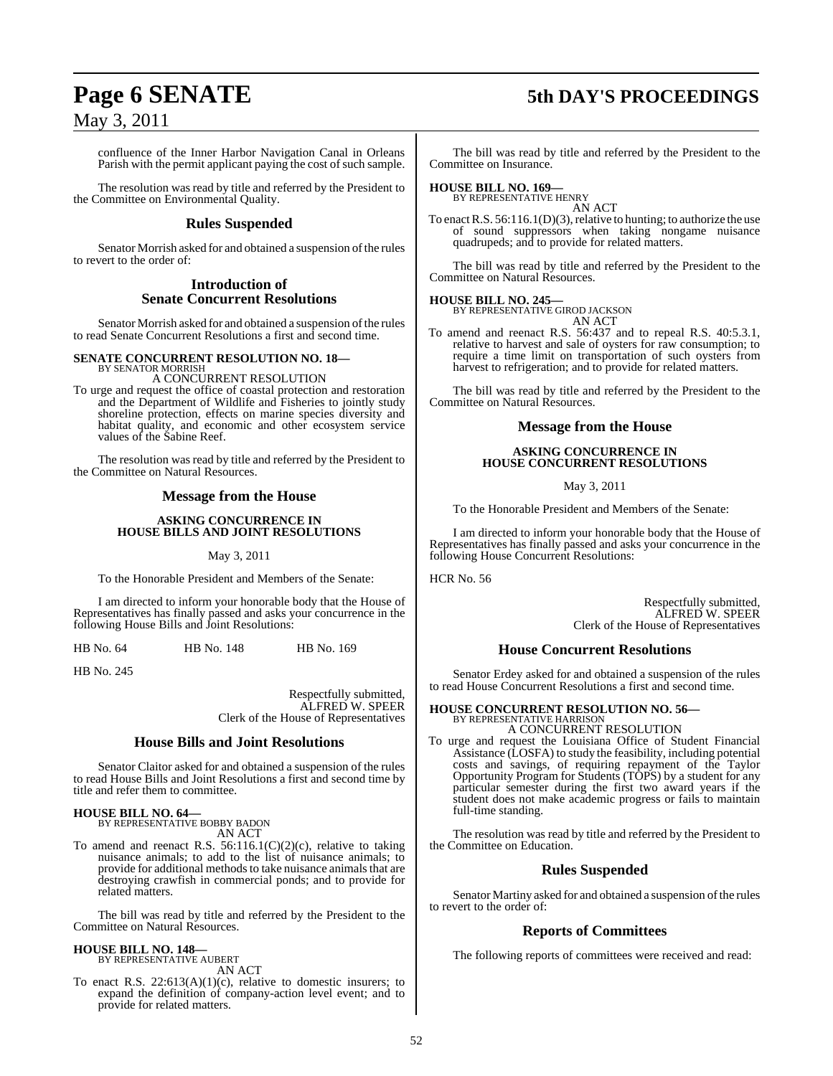## **Page 6 SENATE 5th DAY'S PROCEEDINGS**

### May 3, 2011

confluence of the Inner Harbor Navigation Canal in Orleans Parish with the permit applicant paying the cost of such sample.

The resolution was read by title and referred by the President to the Committee on Environmental Quality.

#### **Rules Suspended**

Senator Morrish asked for and obtained a suspension of the rules to revert to the order of:

#### **Introduction of Senate Concurrent Resolutions**

Senator Morrish asked for and obtained a suspension of the rules to read Senate Concurrent Resolutions a first and second time.

#### **SENATE CONCURRENT RESOLUTION NO. 18—** BY SENATOR MORRISH

### A CONCURRENT RESOLUTION

To urge and request the office of coastal protection and restoration and the Department of Wildlife and Fisheries to jointly study shoreline protection, effects on marine species diversity and habitat quality, and economic and other ecosystem service values of the Sabine Reef.

The resolution was read by title and referred by the President to the Committee on Natural Resources.

### **Message from the House**

#### **ASKING CONCURRENCE IN HOUSE BILLS AND JOINT RESOLUTIONS**

May 3, 2011

To the Honorable President and Members of the Senate:

I am directed to inform your honorable body that the House of Representatives has finally passed and asks your concurrence in the following House Bills and Joint Resolutions:

HB No. 64 HB No. 148 HB No. 169

HB No. 245

Respectfully submitted, ALFRED W. SPEER Clerk of the House of Representatives

#### **House Bills and Joint Resolutions**

Senator Claitor asked for and obtained a suspension of the rules to read House Bills and Joint Resolutions a first and second time by title and refer them to committee.

#### **HOUSE BILL NO. 64—**

BY REPRESENTATIVE BOBBY BADON AN ACT

To amend and reenact R.S.  $56:116.1(C)(2)(c)$ , relative to taking nuisance animals; to add to the list of nuisance animals; to provide for additional methods to take nuisance animals that are destroying crawfish in commercial ponds; and to provide for related matters.

The bill was read by title and referred by the President to the Committee on Natural Resources.

#### **HOUSE BILL NO. 148—** BY REPRESENTATIVE AUBERT

AN ACT

To enact R.S.  $22:613(A)(1)(c)$ , relative to domestic insurers; to expand the definition of company-action level event; and to provide for related matters.

The bill was read by title and referred by the President to the Committee on Insurance.

### **HOUSE BILL NO. 169—** BY REPRESENTATIVE HENRY

AN ACT

To enact R.S. 56:116.1(D)(3), relative to hunting; to authorize the use of sound suppressors when taking nongame nuisance quadrupeds; and to provide for related matters.

The bill was read by title and referred by the President to the Committee on Natural Resources.

#### **HOUSE BILL NO. 245—**

BY REPRESENTATIVE GIROD JACKSON AN ACT

To amend and reenact R.S. 56:437 and to repeal R.S. 40:5.3.1, relative to harvest and sale of oysters for raw consumption; to require a time limit on transportation of such oysters from harvest to refrigeration; and to provide for related matters.

The bill was read by title and referred by the President to the Committee on Natural Resources.

#### **Message from the House**

#### **ASKING CONCURRENCE IN HOUSE CONCURRENT RESOLUTIONS**

May 3, 2011

To the Honorable President and Members of the Senate:

I am directed to inform your honorable body that the House of Representatives has finally passed and asks your concurrence in the following House Concurrent Resolutions:

HCR No. 56

Respectfully submitted, ALFRED W. SPEER Clerk of the House of Representatives

#### **House Concurrent Resolutions**

Senator Erdey asked for and obtained a suspension of the rules to read House Concurrent Resolutions a first and second time.

#### **HOUSE CONCURRENT RESOLUTION NO. 56—** BY REPRESENTATIVE HARRISON

A CONCURRENT RESOLUTION

To urge and request the Louisiana Office of Student Financial Assistance (LOSFA) to study the feasibility, including potential costs and savings, of requiring repayment of the Taylor Opportunity Program for Students (TOPS) by a student for any particular semester during the first two award years if the student does not make academic progress or fails to maintain full-time standing.

The resolution was read by title and referred by the President to the Committee on Education.

#### **Rules Suspended**

Senator Martiny asked for and obtained a suspension of the rules to revert to the order of:

#### **Reports of Committees**

The following reports of committees were received and read: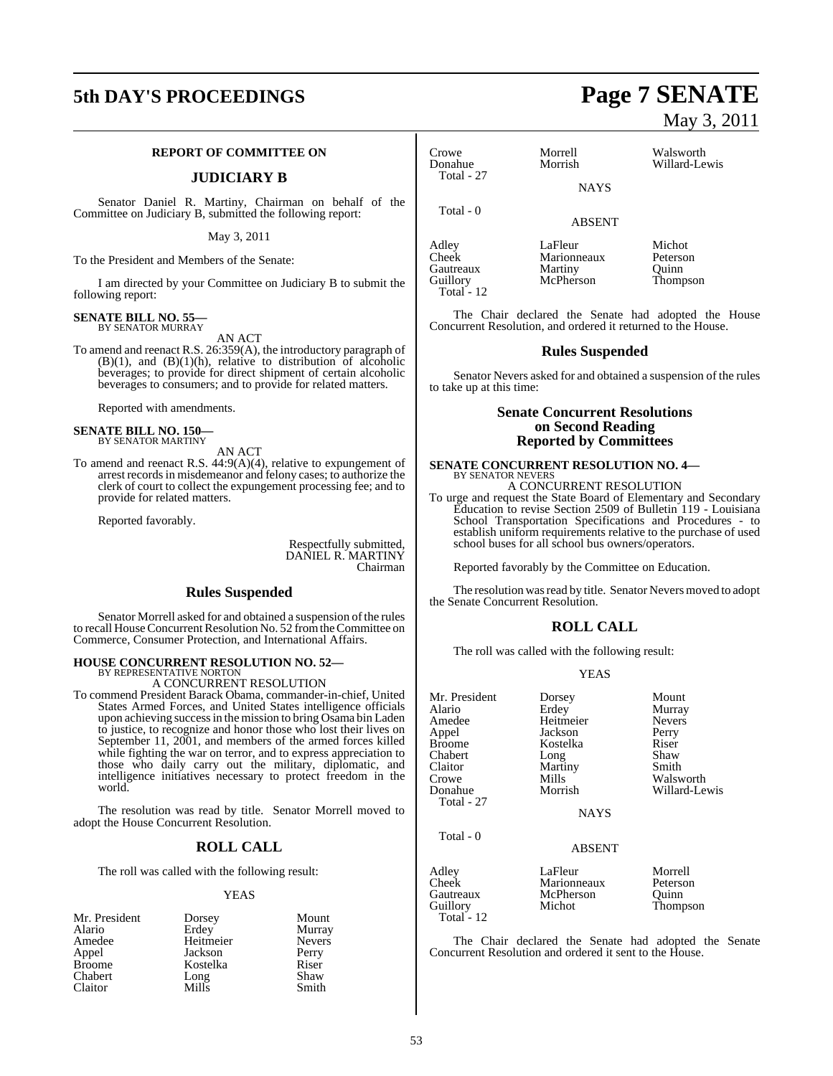## **5th DAY'S PROCEEDINGS Page 7 SENATE**

#### **REPORT OF COMMITTEE ON**

#### **JUDICIARY B**

Senator Daniel R. Martiny, Chairman on behalf of the Committee on Judiciary B, submitted the following report:

May 3, 2011

To the President and Members of the Senate:

I am directed by your Committee on Judiciary B to submit the following report:

#### **SENATE BILL NO. 55—** BY SENATOR MURRAY

AN ACT

To amend and reenact R.S. 26:359(A), the introductory paragraph of  $(B)(1)$ , and  $(B)(1)(h)$ , relative to distribution of alcoholic beverages; to provide for direct shipment of certain alcoholic beverages to consumers; and to provide for related matters.

Reported with amendments.

### **SENATE BILL NO. 150—** BY SENATOR MARTINY

AN ACT

To amend and reenact R.S. 44:9(A)(4), relative to expungement of arrest recordsin misdemeanor and felony cases; to authorize the clerk of court to collect the expungement processing fee; and to provide for related matters.

Reported favorably.

Respectfully submitted, DANIEL R. MARTINY Chairman

#### **Rules Suspended**

Senator Morrell asked for and obtained a suspension of the rules to recall House Concurrent Resolution No. 52 from the Committee on Commerce, Consumer Protection, and International Affairs.

### **HOUSE CONCURRENT RESOLUTION NO. 52—** BY REPRESENTATIVE NORTON

A CONCURRENT RESOLUTION

To commend President Barack Obama, commander-in-chief, United States Armed Forces, and United States intelligence officials upon achieving success in the mission to bring Osama bin Laden to justice, to recognize and honor those who lost their lives on September 11, 2001, and members of the armed forces killed while fighting the war on terror, and to express appreciation to those who daily carry out the military, diplomatic, and intelligence initiatives necessary to protect freedom in the world.

The resolution was read by title. Senator Morrell moved to adopt the House Concurrent Resolution.

#### **ROLL CALL**

The roll was called with the following result:

#### **YEAS**

| Mr. President | Dorsey    | Mount         |
|---------------|-----------|---------------|
| Alario        | Erdey     | Murray        |
| Amedee        | Heitmeier | <b>Nevers</b> |
| Appel         | Jackson   | Perry         |
| <b>Broome</b> | Kostelka  | Riser         |
| Chabert       | Long      | Shaw          |
| Claitor       | Mills     | Smith         |

Crowe Morrell Walsworth<br>
Donahue Morrish Willard-Le Total - 27

Total - 0

**NAYS** 

ABSENT

Adley LaFleur Michot Gautreaux Martiny Quinn<br>
Guillory McPherson Thompson Guillory McPherson Thompson Total - 12

Marionneaux Peterson<br>Martiny Quinn

The Chair declared the Senate had adopted the House Concurrent Resolution, and ordered it returned to the House.

#### **Rules Suspended**

Senator Nevers asked for and obtained a suspension of the rules to take up at this time:

#### **Senate Concurrent Resolutions on Second Reading Reported by Committees**

### **SENATE CONCURRENT RESOLUTION NO. 4—** BY SENATOR NEVERS A CONCURRENT RESOLUTION

To urge and request the State Board of Elementary and Secondary Education to revise Section 2509 of Bulletin 119 - Louisiana School Transportation Specifications and Procedures - to establish uniform requirements relative to the purchase of used school buses for all school bus owners/operators.

Reported favorably by the Committee on Education.

The resolution was read by title. Senator Nevers moved to adopt the Senate Concurrent Resolution.

#### **ROLL CALL**

The roll was called with the following result:

#### YEAS

| Mr. President<br>Alario<br>Amedee<br>Appel<br><b>Broome</b><br>Chabert<br>Claitor<br>Crowe<br>Donahue<br>Total - 27<br>Total $-0$ | Dorsey<br>Erdey<br>Heitmeier<br>Jackson<br>Kostelka<br>Long<br>Martiny<br>Mills<br>Morrish<br><b>NAYS</b><br><b>ABSENT</b> | Mount<br>Murray<br><b>Nevers</b><br>Perry<br>Riser<br>Shaw<br>Smith<br>Walsworth<br>Willard-Lewis |
|-----------------------------------------------------------------------------------------------------------------------------------|----------------------------------------------------------------------------------------------------------------------------|---------------------------------------------------------------------------------------------------|
| Adley                                                                                                                             | LaFleur                                                                                                                    | Morrell                                                                                           |
| Cheek                                                                                                                             | Marionneaux                                                                                                                | Peterson                                                                                          |
| Gautreaux                                                                                                                         | McPherson                                                                                                                  | Ouinn                                                                                             |

Guillory Michot Thompson

The Chair declared the Senate had adopted the Senate Concurrent Resolution and ordered it sent to the House.

Total - 12

# May 3, 2011

Willard-Lewis